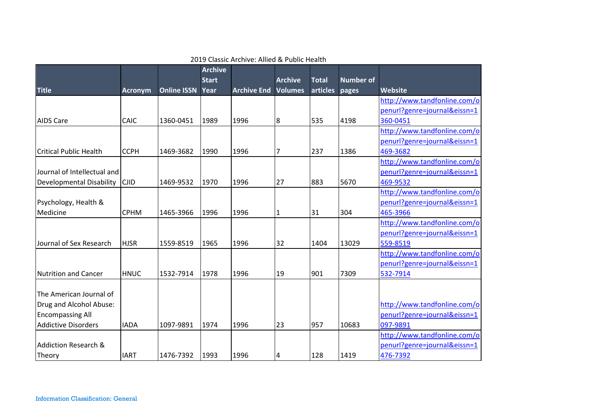|                                 |                |                    | <b>Archive</b><br><b>Start</b> |                    | <b>Archive</b> | <b>Total</b> | <b>Number of</b> |                              |
|---------------------------------|----------------|--------------------|--------------------------------|--------------------|----------------|--------------|------------------|------------------------------|
| <b>Title</b>                    | <b>Acronym</b> | <b>Online ISSN</b> | Year                           | <b>Archive End</b> | <b>Volumes</b> | articles     | pages            | Website                      |
|                                 |                |                    |                                |                    |                |              |                  | http://www.tandfonline.com/o |
|                                 |                |                    |                                |                    |                |              |                  | penurl?genre=journal&eissn=1 |
| <b>AIDS Care</b>                | <b>CAIC</b>    | 1360-0451          | 1989                           | 1996               | 8              | 535          | 4198             | 360-0451                     |
|                                 |                |                    |                                |                    |                |              |                  | http://www.tandfonline.com/o |
|                                 |                |                    |                                |                    |                |              |                  | penurl?genre=journal&eissn=1 |
| <b>Critical Public Health</b>   | <b>CCPH</b>    | 1469-3682          | 1990                           | 1996               | 7              | 237          | 1386             | 469-3682                     |
|                                 |                |                    |                                |                    |                |              |                  | http://www.tandfonline.com/o |
| Journal of Intellectual and     |                |                    |                                |                    |                |              |                  | penurl?genre=journal&eissn=1 |
| <b>Developmental Disability</b> | <b>CJID</b>    | 1469-9532          | 1970                           | 1996               | 27             | 883          | 5670             | 469-9532                     |
|                                 |                |                    |                                |                    |                |              |                  | http://www.tandfonline.com/o |
| Psychology, Health &            |                |                    |                                |                    |                |              |                  | penurl?genre=journal&eissn=1 |
| Medicine                        | <b>CPHM</b>    | 1465-3966          | 1996                           | 1996               | 1              | 31           | 304              | 465-3966                     |
|                                 |                |                    |                                |                    |                |              |                  | http://www.tandfonline.com/o |
|                                 |                |                    |                                |                    |                |              |                  | penurl?genre=journal&eissn=1 |
| Journal of Sex Research         | <b>HJSR</b>    | 1559-8519          | 1965                           | 1996               | 32             | 1404         | 13029            | 559-8519                     |
|                                 |                |                    |                                |                    |                |              |                  | http://www.tandfonline.com/o |
|                                 |                |                    |                                |                    |                |              |                  | penurl?genre=journal&eissn=1 |
| Nutrition and Cancer            | <b>HNUC</b>    | 1532-7914          | 1978                           | 1996               | 19             | 901          | 7309             | 532-7914                     |
|                                 |                |                    |                                |                    |                |              |                  |                              |
| The American Journal of         |                |                    |                                |                    |                |              |                  |                              |
| Drug and Alcohol Abuse:         |                |                    |                                |                    |                |              |                  | http://www.tandfonline.com/o |
| <b>Encompassing All</b>         |                |                    |                                |                    |                |              |                  | penurl?genre=journal&eissn=1 |
| <b>Addictive Disorders</b>      | <b>IADA</b>    | 1097-9891          | 1974                           | 1996               | 23             | 957          | 10683            | 097-9891                     |
|                                 |                |                    |                                |                    |                |              |                  | http://www.tandfonline.com/o |
| Addiction Research &            |                |                    |                                |                    |                |              |                  | penurl?genre=journal&eissn=1 |
| Theory                          | <b>IART</b>    | 1476-7392          | 1993                           | 1996               | 4              | 128          | 1419             | 476-7392                     |

2019 Classic Archive: Allied & Public Health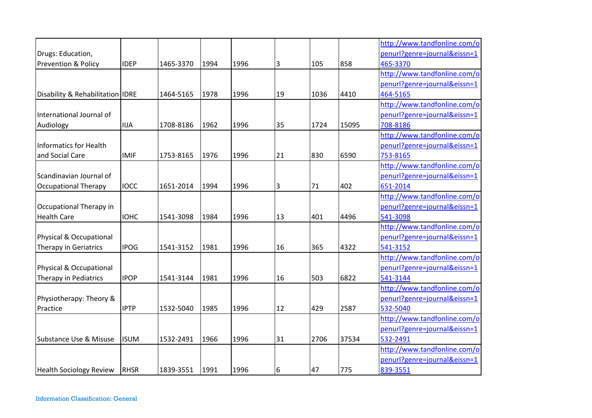|                                  |             |           |      |      |    |      |       | http://www.tandfonline.com/o |
|----------------------------------|-------------|-----------|------|------|----|------|-------|------------------------------|
| Drugs: Education,                |             |           |      |      |    |      |       | penurl?genre=journal&eissn=1 |
| <b>Prevention &amp; Policy</b>   | <b>IDEP</b> | 1465-3370 | 1994 | 1996 | 3  | 105  | 858   | 465-3370                     |
|                                  |             |           |      |      |    |      |       | http://www.tandfonline.com/o |
|                                  |             |           |      |      |    |      |       | penurl?genre=journal&eissn=1 |
| Disability & Rehabilitation IDRE |             | 1464-5165 | 1978 | 1996 | 19 | 1036 | 4410  | 464-5165                     |
|                                  |             |           |      |      |    |      |       | http://www.tandfonline.com/o |
| International Journal of         |             |           |      |      |    |      |       | penurl?genre=journal&eissn=1 |
| Audiology                        | <b>IIJA</b> | 1708-8186 | 1962 | 1996 | 35 | 1724 | 15095 | 708-8186                     |
|                                  |             |           |      |      |    |      |       | http://www.tandfonline.com/o |
| Informatics for Health           |             |           |      |      |    |      |       | penurl?genre=journal&eissn=1 |
| and Social Care                  | <b>IMIF</b> | 1753-8165 | 1976 | 1996 | 21 | 830  | 6590  | 753-8165                     |
|                                  |             |           |      |      |    |      |       | http://www.tandfonline.com/o |
| Scandinavian Journal of          |             |           |      |      |    |      |       | penurl?genre=journal&eissn=1 |
| <b>Occupational Therapy</b>      | <b>IOCC</b> | 1651-2014 | 1994 | 1996 | 3  | 71   | 402   | 651-2014                     |
|                                  |             |           |      |      |    |      |       | http://www.tandfonline.com/o |
| Occupational Therapy in          |             |           |      |      |    |      |       | penurl?genre=journal&eissn=1 |
| <b>Health Care</b>               | <b>IOHC</b> | 1541-3098 | 1984 | 1996 | 13 | 401  | 4496  | 541-3098                     |
|                                  |             |           |      |      |    |      |       | http://www.tandfonline.com/o |
| Physical & Occupational          |             |           |      |      |    |      |       | penurl?genre=journal&eissn=1 |
| Therapy in Geriatrics            | <b>IPOG</b> | 1541-3152 | 1981 | 1996 | 16 | 365  | 4322  | 541-3152                     |
|                                  |             |           |      |      |    |      |       | http://www.tandfonline.com/o |
| Physical & Occupational          |             |           |      |      |    |      |       | penurl?genre=journal&eissn=1 |
| Therapy in Pediatrics            | <b>IPOP</b> | 1541-3144 | 1981 | 1996 | 16 | 503  | 6822  | 541-3144                     |
|                                  |             |           |      |      |    |      |       | http://www.tandfonline.com/o |
| Physiotherapy: Theory &          |             |           |      |      |    |      |       | penurl?genre=journal&eissn=1 |
| Practice                         | <b>IPTP</b> | 1532-5040 | 1985 | 1996 | 12 | 429  | 2587  | 532-5040                     |
|                                  |             |           |      |      |    |      |       | http://www.tandfonline.com/o |
|                                  |             |           |      |      |    |      |       | penurl?genre=journal&eissn=1 |
| Substance Use & Misuse           | <b>ISUM</b> | 1532-2491 | 1966 | 1996 | 31 | 2706 | 37534 | 532-2491                     |
|                                  |             |           |      |      |    |      |       | http://www.tandfonline.com/o |
|                                  |             |           |      |      |    |      |       | penurl?genre=journal&eissn=1 |
| <b>Health Sociology Review</b>   | RHSR        | 1839-3551 | 1991 | 1996 | 6  | 47   | 775   | 839-3551                     |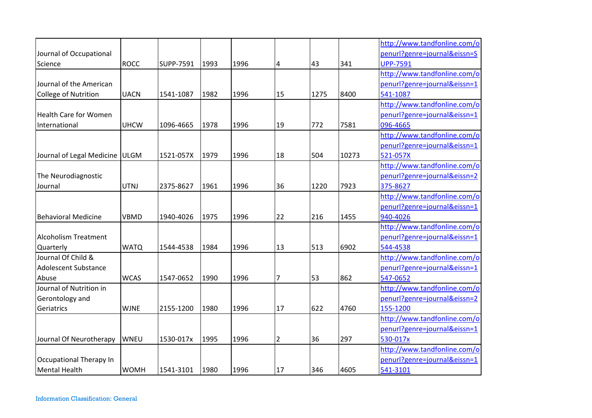|                                |             |           |      |      |                |      |       | http://www.tandfonline.com/o |
|--------------------------------|-------------|-----------|------|------|----------------|------|-------|------------------------------|
| Journal of Occupational        |             |           |      |      |                |      |       | penurl?genre=journal&eissn=S |
| Science                        | <b>ROCC</b> | SUPP-7591 | 1993 | 1996 | 4              | 43   | 341   | <b>UPP-7591</b>              |
|                                |             |           |      |      |                |      |       | http://www.tandfonline.com/o |
| Journal of the American        |             |           |      |      |                |      |       | penurl?genre=journal&eissn=1 |
| <b>College of Nutrition</b>    | <b>UACN</b> | 1541-1087 | 1982 | 1996 | 15             | 1275 | 8400  | 541-1087                     |
|                                |             |           |      |      |                |      |       | http://www.tandfonline.com/o |
| <b>Health Care for Women</b>   |             |           |      |      |                |      |       | penurl?genre=journal&eissn=1 |
| International                  | <b>UHCW</b> | 1096-4665 | 1978 | 1996 | 19             | 772  | 7581  | 096-4665                     |
|                                |             |           |      |      |                |      |       | http://www.tandfonline.com/o |
|                                |             |           |      |      |                |      |       | penurl?genre=journal&eissn=1 |
| Journal of Legal Medicine ULGM |             | 1521-057X | 1979 | 1996 | 18             | 504  | 10273 | 521-057X                     |
|                                |             |           |      |      |                |      |       | http://www.tandfonline.com/o |
| The Neurodiagnostic            |             |           |      |      |                |      |       | penurl?genre=journal&eissn=2 |
| Journal                        | <b>UTNJ</b> | 2375-8627 | 1961 | 1996 | 36             | 1220 | 7923  | 375-8627                     |
|                                |             |           |      |      |                |      |       | http://www.tandfonline.com/o |
|                                |             |           |      |      |                |      |       | penurl?genre=journal&eissn=1 |
| <b>Behavioral Medicine</b>     | <b>VBMD</b> | 1940-4026 | 1975 | 1996 | 22             | 216  | 1455  | 940-4026                     |
|                                |             |           |      |      |                |      |       | http://www.tandfonline.com/o |
| <b>Alcoholism Treatment</b>    |             |           |      |      |                |      |       | penurl?genre=journal&eissn=1 |
| Quarterly                      | <b>WATQ</b> | 1544-4538 | 1984 | 1996 | 13             | 513  | 6902  | 544-4538                     |
| Journal Of Child &             |             |           |      |      |                |      |       | http://www.tandfonline.com/o |
| <b>Adolescent Substance</b>    |             |           |      |      |                |      |       | penurl?genre=journal&eissn=1 |
| Abuse                          | <b>WCAS</b> | 1547-0652 | 1990 | 1996 | 7              | 53   | 862   | 547-0652                     |
| Journal of Nutrition in        |             |           |      |      |                |      |       | http://www.tandfonline.com/o |
| Gerontology and                |             |           |      |      |                |      |       | penurl?genre=journal&eissn=2 |
| Geriatrics                     | <b>WJNE</b> | 2155-1200 | 1980 | 1996 | 17             | 622  | 4760  | 155-1200                     |
|                                |             |           |      |      |                |      |       | http://www.tandfonline.com/o |
|                                |             |           |      |      |                |      |       | penurl?genre=journal&eissn=1 |
| Journal Of Neurotherapy        | <b>WNEU</b> | 1530-017x | 1995 | 1996 | $\overline{2}$ | 36   | 297   | 530-017x                     |
|                                |             |           |      |      |                |      |       | http://www.tandfonline.com/o |
| Occupational Therapy In        |             |           |      |      |                |      |       | penurl?genre=journal&eissn=1 |
| <b>Mental Health</b>           | <b>WOMH</b> | 1541-3101 | 1980 | 1996 | 17             | 346  | 4605  | 541-3101                     |